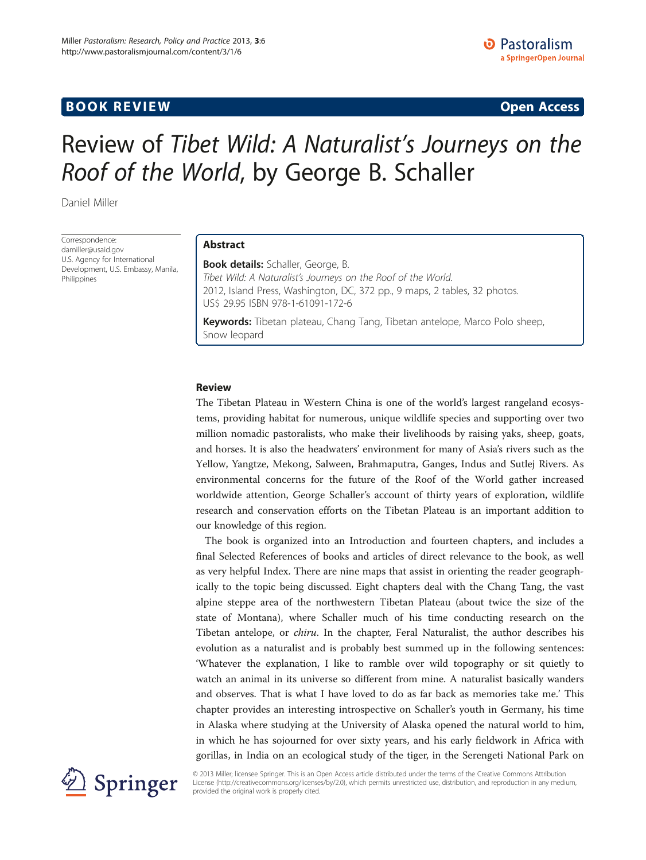# **BOOK REVIEW CONTROL** BOOK REVIEW

# Review of Tibet Wild: A Naturalist's Journeys on the Roof of the World, by George B. Schaller

Daniel Miller

Correspondence: [damiller@usaid.gov](mailto:damiller@usaid.gov) U.S. Agency for International Development, U.S. Embassy, Manila, Philippines

## Abstract

Book details: Schaller, George, B. Tibet Wild: A Naturalist's Journeys on the Roof of the World. 2012, Island Press, Washington, DC, 372 pp., 9 maps, 2 tables, 32 photos. US\$ 29.95 ISBN 978-1-61091-172-6

Keywords: Tibetan plateau, Chang Tang, Tibetan antelope, Marco Polo sheep, Snow leopard

### Review

The Tibetan Plateau in Western China is one of the world's largest rangeland ecosystems, providing habitat for numerous, unique wildlife species and supporting over two million nomadic pastoralists, who make their livelihoods by raising yaks, sheep, goats, and horses. It is also the headwaters' environment for many of Asia's rivers such as the Yellow, Yangtze, Mekong, Salween, Brahmaputra, Ganges, Indus and Sutlej Rivers. As environmental concerns for the future of the Roof of the World gather increased worldwide attention, George Schaller's account of thirty years of exploration, wildlife research and conservation efforts on the Tibetan Plateau is an important addition to our knowledge of this region.

The book is organized into an Introduction and fourteen chapters, and includes a final Selected References of books and articles of direct relevance to the book, as well as very helpful Index. There are nine maps that assist in orienting the reader geographically to the topic being discussed. Eight chapters deal with the Chang Tang, the vast alpine steppe area of the northwestern Tibetan Plateau (about twice the size of the state of Montana), where Schaller much of his time conducting research on the Tibetan antelope, or chiru. In the chapter, Feral Naturalist, the author describes his evolution as a naturalist and is probably best summed up in the following sentences: 'Whatever the explanation, I like to ramble over wild topography or sit quietly to watch an animal in its universe so different from mine. A naturalist basically wanders and observes. That is what I have loved to do as far back as memories take me.' This chapter provides an interesting introspective on Schaller's youth in Germany, his time in Alaska where studying at the University of Alaska opened the natural world to him, in which he has sojourned for over sixty years, and his early fieldwork in Africa with gorillas, in India on an ecological study of the tiger, in the Serengeti National Park on



© 2013 Miller; licensee Springer. This is an Open Access article distributed under the terms of the Creative Commons Attribution License [\(http://creativecommons.org/licenses/by/2.0\)](http://creativecommons.org/licenses/by/2.0), which permits unrestricted use, distribution, and reproduction in any medium, provided the original work is properly cited.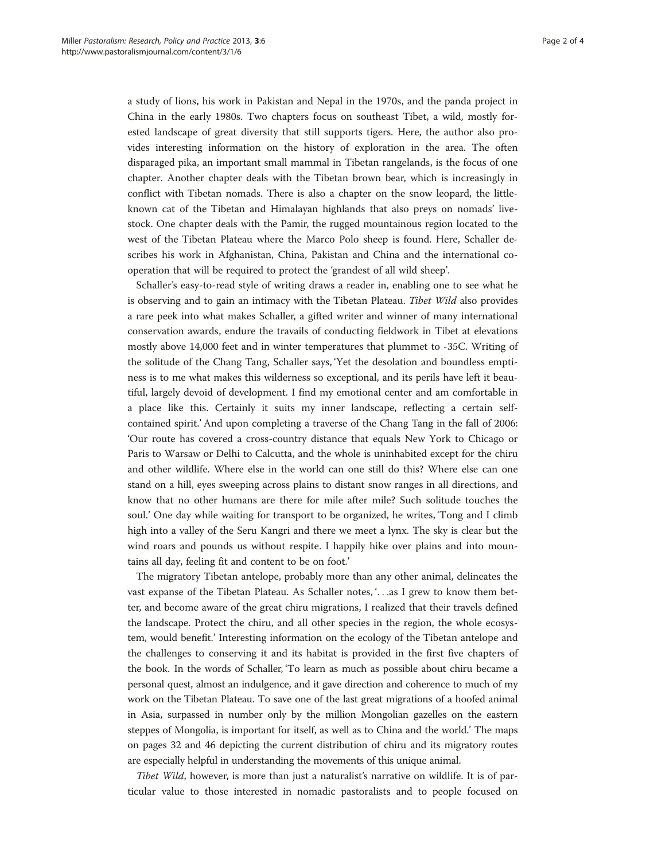a study of lions, his work in Pakistan and Nepal in the 1970s, and the panda project in China in the early 1980s. Two chapters focus on southeast Tibet, a wild, mostly forested landscape of great diversity that still supports tigers. Here, the author also provides interesting information on the history of exploration in the area. The often disparaged pika, an important small mammal in Tibetan rangelands, is the focus of one chapter. Another chapter deals with the Tibetan brown bear, which is increasingly in conflict with Tibetan nomads. There is also a chapter on the snow leopard, the littleknown cat of the Tibetan and Himalayan highlands that also preys on nomads' livestock. One chapter deals with the Pamir, the rugged mountainous region located to the west of the Tibetan Plateau where the Marco Polo sheep is found. Here, Schaller describes his work in Afghanistan, China, Pakistan and China and the international cooperation that will be required to protect the 'grandest of all wild sheep'.

Schaller's easy-to-read style of writing draws a reader in, enabling one to see what he is observing and to gain an intimacy with the Tibetan Plateau. Tibet Wild also provides a rare peek into what makes Schaller, a gifted writer and winner of many international conservation awards, endure the travails of conducting fieldwork in Tibet at elevations mostly above 14,000 feet and in winter temperatures that plummet to -35C. Writing of the solitude of the Chang Tang, Schaller says, 'Yet the desolation and boundless emptiness is to me what makes this wilderness so exceptional, and its perils have left it beautiful, largely devoid of development. I find my emotional center and am comfortable in a place like this. Certainly it suits my inner landscape, reflecting a certain selfcontained spirit.' And upon completing a traverse of the Chang Tang in the fall of 2006: 'Our route has covered a cross-country distance that equals New York to Chicago or Paris to Warsaw or Delhi to Calcutta, and the whole is uninhabited except for the chiru and other wildlife. Where else in the world can one still do this? Where else can one stand on a hill, eyes sweeping across plains to distant snow ranges in all directions, and know that no other humans are there for mile after mile? Such solitude touches the soul.' One day while waiting for transport to be organized, he writes, 'Tong and I climb high into a valley of the Seru Kangri and there we meet a lynx. The sky is clear but the wind roars and pounds us without respite. I happily hike over plains and into mountains all day, feeling fit and content to be on foot.'

The migratory Tibetan antelope, probably more than any other animal, delineates the vast expanse of the Tibetan Plateau. As Schaller notes, '...as I grew to know them better, and become aware of the great chiru migrations, I realized that their travels defined the landscape. Protect the chiru, and all other species in the region, the whole ecosystem, would benefit.' Interesting information on the ecology of the Tibetan antelope and the challenges to conserving it and its habitat is provided in the first five chapters of the book. In the words of Schaller, 'To learn as much as possible about chiru became a personal quest, almost an indulgence, and it gave direction and coherence to much of my work on the Tibetan Plateau. To save one of the last great migrations of a hoofed animal in Asia, surpassed in number only by the million Mongolian gazelles on the eastern steppes of Mongolia, is important for itself, as well as to China and the world.' The maps on pages 32 and 46 depicting the current distribution of chiru and its migratory routes are especially helpful in understanding the movements of this unique animal.

Tibet Wild, however, is more than just a naturalist's narrative on wildlife. It is of particular value to those interested in nomadic pastoralists and to people focused on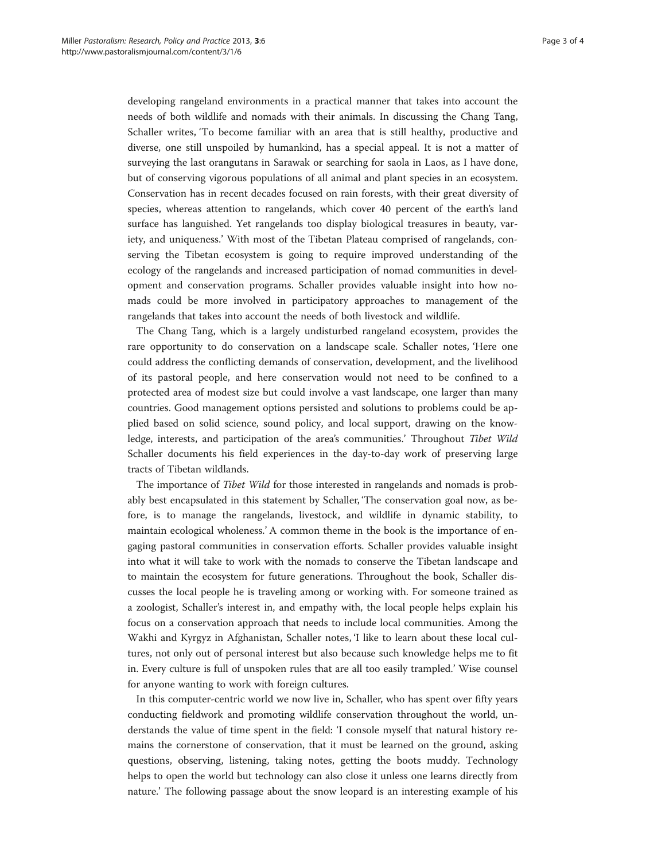developing rangeland environments in a practical manner that takes into account the needs of both wildlife and nomads with their animals. In discussing the Chang Tang, Schaller writes, 'To become familiar with an area that is still healthy, productive and diverse, one still unspoiled by humankind, has a special appeal. It is not a matter of surveying the last orangutans in Sarawak or searching for saola in Laos, as I have done, but of conserving vigorous populations of all animal and plant species in an ecosystem. Conservation has in recent decades focused on rain forests, with their great diversity of species, whereas attention to rangelands, which cover 40 percent of the earth's land surface has languished. Yet rangelands too display biological treasures in beauty, variety, and uniqueness.' With most of the Tibetan Plateau comprised of rangelands, conserving the Tibetan ecosystem is going to require improved understanding of the ecology of the rangelands and increased participation of nomad communities in development and conservation programs. Schaller provides valuable insight into how nomads could be more involved in participatory approaches to management of the rangelands that takes into account the needs of both livestock and wildlife.

The Chang Tang, which is a largely undisturbed rangeland ecosystem, provides the rare opportunity to do conservation on a landscape scale. Schaller notes, 'Here one could address the conflicting demands of conservation, development, and the livelihood of its pastoral people, and here conservation would not need to be confined to a protected area of modest size but could involve a vast landscape, one larger than many countries. Good management options persisted and solutions to problems could be applied based on solid science, sound policy, and local support, drawing on the knowledge, interests, and participation of the area's communities.' Throughout Tibet Wild Schaller documents his field experiences in the day-to-day work of preserving large tracts of Tibetan wildlands.

The importance of Tibet Wild for those interested in rangelands and nomads is probably best encapsulated in this statement by Schaller, 'The conservation goal now, as before, is to manage the rangelands, livestock, and wildlife in dynamic stability, to maintain ecological wholeness.' A common theme in the book is the importance of engaging pastoral communities in conservation efforts. Schaller provides valuable insight into what it will take to work with the nomads to conserve the Tibetan landscape and to maintain the ecosystem for future generations. Throughout the book, Schaller discusses the local people he is traveling among or working with. For someone trained as a zoologist, Schaller's interest in, and empathy with, the local people helps explain his focus on a conservation approach that needs to include local communities. Among the Wakhi and Kyrgyz in Afghanistan, Schaller notes, 'I like to learn about these local cultures, not only out of personal interest but also because such knowledge helps me to fit in. Every culture is full of unspoken rules that are all too easily trampled.' Wise counsel for anyone wanting to work with foreign cultures.

In this computer-centric world we now live in, Schaller, who has spent over fifty years conducting fieldwork and promoting wildlife conservation throughout the world, understands the value of time spent in the field: 'I console myself that natural history remains the cornerstone of conservation, that it must be learned on the ground, asking questions, observing, listening, taking notes, getting the boots muddy. Technology helps to open the world but technology can also close it unless one learns directly from nature.' The following passage about the snow leopard is an interesting example of his